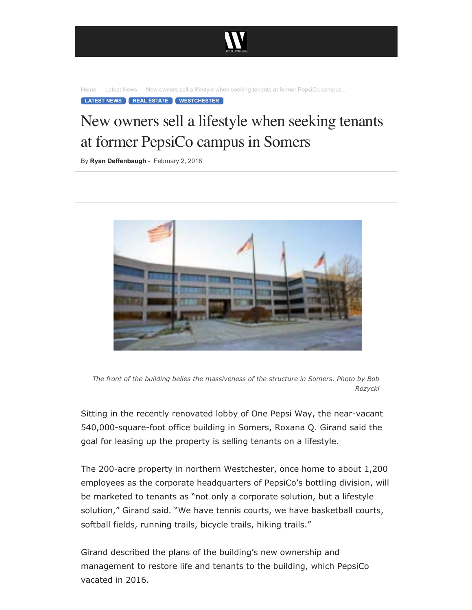

[Home](https://westfaironline.com/) [Latest News](https://westfaironline.com/category/latest-news/) New owners sell a lifestyle when seeking tenants at former PepsiCo campus...

**[LATEST NEWS](https://westfaironline.com/category/latest-news/) [REAL ESTATE](https://westfaironline.com/category/real-estate/) [WESTCHESTER](https://westfaironline.com/category/westchester/)**

## New owners sell a lifestyle when seeking tenants at former PepsiCo campus in Somers

By [Ryan Deffenbaugh](https://westfaironline.com/author/ryan-deffenbaugh/) - February 2, 2018



*The front of the building belies the massiveness of the structure in Somers. Photo by Bob Rozycki*

Sitting in the recently renovated lobby of One Pepsi Way, the near-vacant 540,000-square-foot office building in Somers, Roxana Q. Girand said the goal for leasing up the property is selling tenants on a lifestyle.

The 200-acre property in northern Westchester, once home to about  $1,200$ employees as the corporate headquarters of PepsiCo's bottling division, will be marketed to tenants as "not only a corporate solution, but a lifestyle solution," Girand said. "We have tennis courts, we have basketball courts, softball fields, running trails, bicycle trails, hiking trails."

Girand described the plans of the building's new ownership and management to restore life and tenants to the building, which PepsiCo vacated in 2016.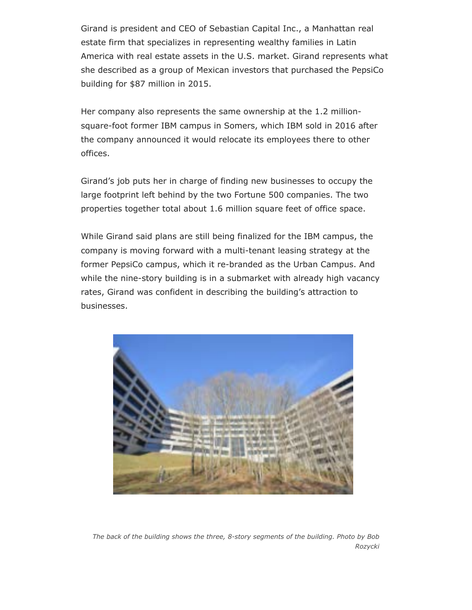Girand is president and CEO of Sebastian Capital Inc., a Manhattan real estate firm that specializes in representing wealthy families in Latin America with real estate assets in the U.S. market. Girand represents what she described as a group of Mexican investors that purchased the PepsiCo building for \$87 million in 2015.

Her company also represents the same ownership at the 1.2 millionsquare-foot former IBM campus in Somers, which IBM sold in 2016 after the company announced it would relocate its employees there to other offices.

Girand's job puts her in charge of finding new businesses to occupy the large footprint left behind by the two Fortune 500 companies. The two properties together total about 1.6 million square feet of office space.

While Girand said plans are still being finalized for the IBM campus, the company is moving forward with a multi-tenant leasing strategy at the former PepsiCo campus, which it re-branded as the Urban Campus. And while the nine-story building is in a submarket with already high vacancy rates, Girand was confident in describing the building's attraction to businesses.



*The back of the building shows the three, 8story segments of the building. Photo by Bob Rozycki*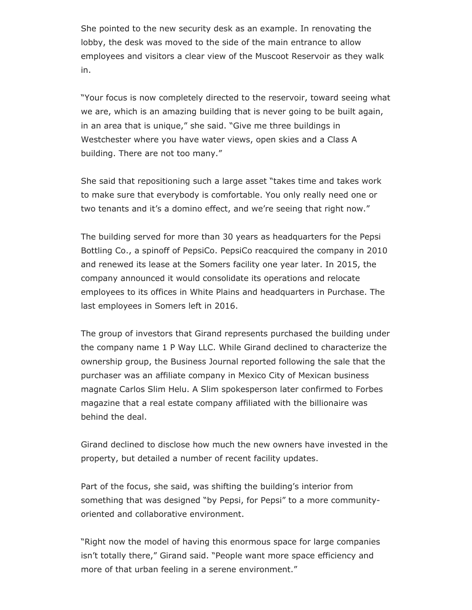She pointed to the new security desk as an example. In renovating the lobby, the desk was moved to the side of the main entrance to allow employees and visitors a clear view of the Muscoot Reservoir as they walk in.

"Your focus is now completely directed to the reservoir, toward seeing what we are, which is an amazing building that is never going to be built again, in an area that is unique," she said. "Give me three buildings in Westchester where you have water views, open skies and a Class A building. There are not too many."

She said that repositioning such a large asset "takes time and takes work to make sure that everybody is comfortable. You only really need one or two tenants and it's a domino effect, and we're seeing that right now."

The building served for more than 30 years as headquarters for the Pepsi Bottling Co., a spinoff of PepsiCo. PepsiCo reacquired the company in 2010 and renewed its lease at the Somers facility one year later. In 2015, the company announced it would consolidate its operations and relocate employees to its offices in White Plains and headquarters in Purchase. The last employees in Somers left in 2016.

The group of investors that Girand represents purchased the building under the company name 1 P Way LLC. While Girand declined to characterize the ownership group, the Business Journal reported following the sale that the purchaser was an affiliate company in Mexico City of Mexican business magnate Carlos Slim Helu. A Slim spokesperson later confirmed to Forbes magazine that a real estate company affiliated with the billionaire was behind the deal.

Girand declined to disclose how much the new owners have invested in the property, but detailed a number of recent facility updates.

Part of the focus, she said, was shifting the building's interior from something that was designed "by Pepsi, for Pepsi" to a more communityoriented and collaborative environment.

"Right now the model of having this enormous space for large companies isn't totally there," Girand said. "People want more space efficiency and more of that urban feeling in a serene environment."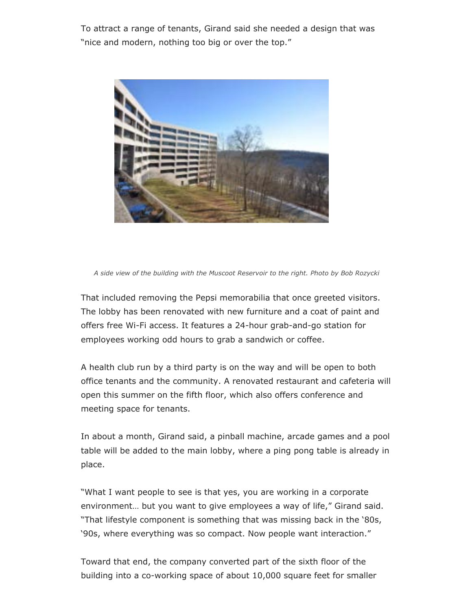To attract a range of tenants, Girand said she needed a design that was "nice and modern, nothing too big or over the top."



*A side view of the building with the Muscoot Reservoir to the right. Photo by Bob Rozycki*

That included removing the Pepsi memorabilia that once greeted visitors. The lobby has been renovated with new furniture and a coat of paint and offers free Wi-Fi access. It features a 24-hour grab-and-go station for employees working odd hours to grab a sandwich or coffee.

A health club run by a third party is on the way and will be open to both office tenants and the community. A renovated restaurant and cafeteria will open this summer on the fifth floor, which also offers conference and meeting space for tenants.

In about a month, Girand said, a pinball machine, arcade games and a pool table will be added to the main lobby, where a ping pong table is already in place.

"What I want people to see is that yes, you are working in a corporate environment… but you want to give employees a way of life," Girand said. "That lifestyle component is something that was missing back in the '80s, '90s, where everything was so compact. Now people want interaction."

Toward that end, the company converted part of the sixth floor of the building into a co-working space of about 10,000 square feet for smaller